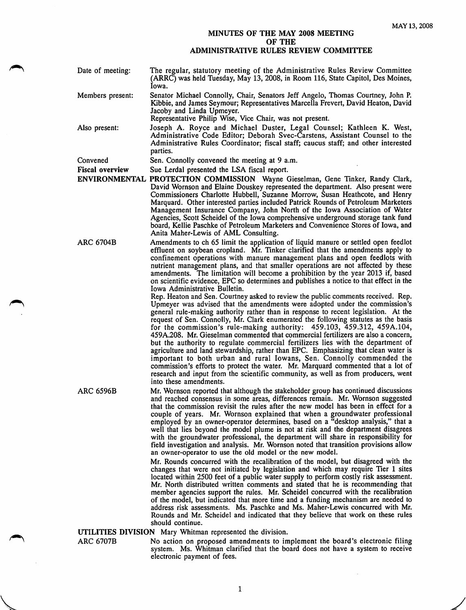## MINUTES OF THE MAY 2008 MEETING OF THE ADMINISTRATIVE RULES REVIEW COMMITTEE

- Date of meeting: The regular, statutory meeting of the Administrative Rules Review Committee (ARRC) was held Tuesday, May 13, 2008, in Room 116, State Capitol, Des Moines, Iowa.
- Members present: Senator Michael Connolly, Chair, Senators Jeff Angelo, Thomas Courtney, John R Kibbie, and James Seymour; Representatives Marcella Frevert, David Heaton, David Jacoby and Linda Upmeyer.
	- Representative Philip Wise, Vice Chair, was not present.
- Also present: Joseph A. Royce and Michael Duster, Legal Counsel; Kathleen K. West, Administrative Code Editor; Deborah Svec-Carstens, Assistant Counsel to the Administrative Rules Coordinator; fiscal staff; caucus staff; and other interested parties.

Convened Sen. Connolly convened the meeting at 9 a.m.

Fiscal overview Sue Lerdal presented the LSA fiscal report.

- ENVIRONMENTAL PROTECTION COMMISSION Wayne Gieselman, Gene Tinker, Randy Clark, David Wornson and Elaine Douskey represented the department. Also present were Commissioners Charlotte Hubbell, Suzanne Morrow, Susan Heathcote, and Henry Marquard. Other interested parties included Patrick Rounds of Petroleum Marketers Management Insurance Company, John North of the Iowa Association of Water Agencies, Scott Scheidel of the Iowa comprehensive underground storage tank fund board, Kellie Paschke of Petroleum Marketers and Convenience Stores of Iowa, and Anita Maher-Lewis of AML Consulting.
- ARC 6704B Amendments to ch 65 limit the application of liquid manure or settled open feedlot effluent on soybean cropland. Mr. Tinker clarified that the amendments apply to confinement operations with manure management plans and open feedlots with nutrient management plans, and that smaller operations are not affected by these amendments. The limitation will become a prohibition by the year 2013 if, based on scientific evidence, EPC so determines and publishes a notice to that effect in the Iowa Administrative Bulletin.

Rep. Heaton and Sen. Courtney asked to review the public comments received. Rep. Upmeyer was advised that the amendments were adopted under the commission's general rule-making authority rather than in response to recent legislation. At the request of Sen. Connolly, Mr. Clark enumerated the following statutes as the basis for the commission's rule-making authority: 459.103, 459.312, 459A.104, 459A.208. Mr. Gieselman commented that commercial fertilizers are also a concern, but the authority to regulate commercial fertilizers lies with the department of agriculture and land stewardship, rather than EPC. Emphasizing that clean water is important to both urban and rural lowans. Sen. Connolly commended the commission's efforts to protect the water. Mr. Marquard commented that a lot of research and input from the scientific community, as well as from producers, went into these amendments.

ARC 6596B Mr. Wornson reported that although the stakeholder group has continued discussions and reached consensus in some areas, differences remain. Mr. Wornson suggested that the commission revisit the rules after the new model has been in effect for a couple of years. Mr. Wornson explained that when a groundwater professional employed by an owner-operator determines, based on a "desktop analysis," that a well that lies beyond the model plume is not at risk and the department disagrees with the groundwater professional, the department will share in responsibility for field investigation and analysis. Mr. Wornson noted that transition provisions allow an owner-operator to use the old model or the new model.

> Mr. Rounds concurred with the recalibration of the model, but disagreed with the changes that were not initiated by legislation and which may require Tier 1 sites located within 2500 feet of a public water supply to perform costly risk assessment. Mr. North distributed written comments and stated that he is recommending that member agencies support the rules. Mr. Scheidel concurred with the recalibration of the model, but indicated that more time and a funding mechanism are needed to address risk assessments. Ms. Paschke and Ms. Maher-Lewis concurred with Mr. Rounds and Mr. Scheidel and indicated that they believe that work on these rules should continue.

UTILITIES DIVISION Mary Whitman represented the division.

ARC 6707B No action on proposed amendments to implement the board's electronic filing system. Ms. Whitman clarified that the board does not have a system to receive electronic payment of fees.